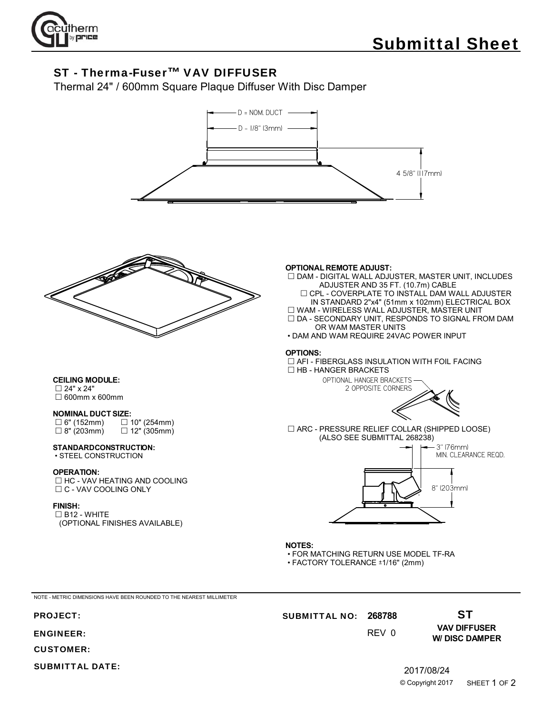

# ST - Therma-Fuser™ VAV DIFFUSER

Thermal 24" / 600mm Square Plaque Diffuser With Disc Damper





**CEILING MODULE:** 24" x 24" 600mm x 600mm

## **NOMINAL DUCT SIZE:**

| $\Box$ 6" (152mm) | $\Box$ 10" (254mm) |
|-------------------|--------------------|
| $\Box$ 8" (203mm) | $\Box$ 12" (305mm) |

#### **STANDARD CONSTRUCTION:** • STEEL CONSTRUCTION

#### **OPERATION:**

□ HC - VAV HEATING AND COOLING □ C - VAV COOLING ONLY

#### **FINISH:**

 $\square$  B12 - WHITE (OPTIONAL FINISHES AVAILABLE)

#### **OPTIONAL REMOTE ADJUST:**

- $\square$  DAM DIGITAL WALL ADJUSTER, MASTER UNIT, INCLUDES ADJUSTER AND 35 FT. (10.7m) CABLE
- CPL COVERPLATE TO INSTALL DAM WALL ADJUSTER IN STANDARD 2"x4" (51mm x 102mm) ELECTRICAL BOX WAM - WIRELESS WALL ADJUSTER, MASTER UNIT

 $\square$  DA - SECONDARY UNIT, RESPONDS TO SIGNAL FROM DAM OR WAM MASTER UNITS

• DAM AND WAM REQUIRE 24VAC POWER INPUT

### **OPTIONS:**

 AFI - FIBERGLASS INSULATION WITH FOIL FACING  $\Box$  HB - HANGER BRACKETS



 ARC - PRESSURE RELIEF COLLAR (SHIPPED LOOSE) (ALSO SEE SUBMITTAL 268238)



- **NOTES:**
- FOR MATCHING RETURN USE MODEL TF-RA
- $\cdot$  FACTORY TOLERANCE  $\pm$ 1/16" (2mm)

NOTE - METRIC DIMENSIONS HAVE BEEN ROUNDED TO THE NEAREST MILLIMETER

## ENGINEER:

CUSTOMER:

SUBMITTAL DATE:

# PROJECT: **268788** SUBMITTAL NO:

0 REV

**VAV DIFFUSER W/ DISC DAMPER**